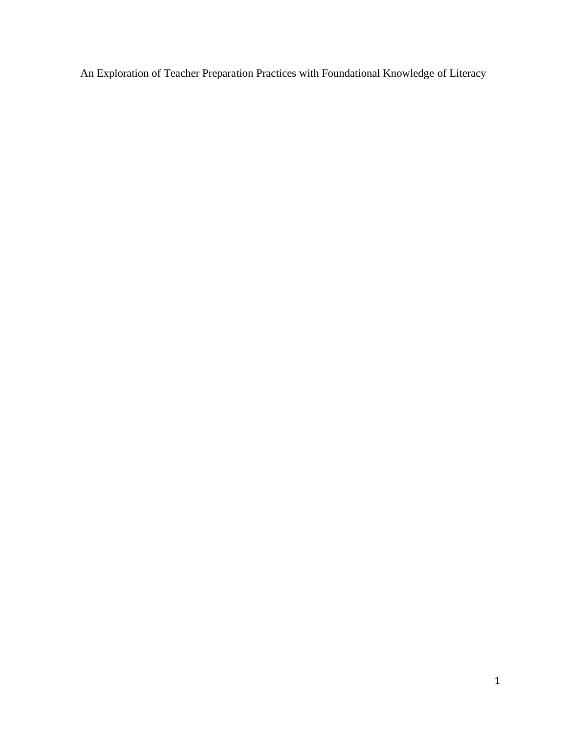An Exploration of Teacher Preparation Practices with Foundational Knowledge of Literacy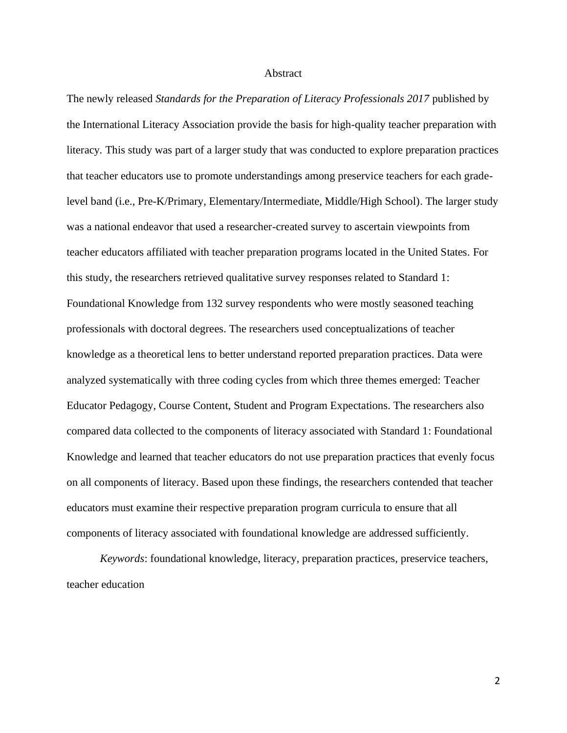#### **Abstract**

The newly released *Standards for the Preparation of Literacy Professionals 2017* published by the International Literacy Association provide the basis for high-quality teacher preparation with literacy*.* This study was part of a larger study that was conducted to explore preparation practices that teacher educators use to promote understandings among preservice teachers for each gradelevel band (i.e., Pre-K/Primary, Elementary/Intermediate, Middle/High School). The larger study was a national endeavor that used a researcher-created survey to ascertain viewpoints from teacher educators affiliated with teacher preparation programs located in the United States. For this study, the researchers retrieved qualitative survey responses related to Standard 1: Foundational Knowledge from 132 survey respondents who were mostly seasoned teaching professionals with doctoral degrees. The researchers used conceptualizations of teacher knowledge as a theoretical lens to better understand reported preparation practices. Data were analyzed systematically with three coding cycles from which three themes emerged: Teacher Educator Pedagogy, Course Content, Student and Program Expectations. The researchers also compared data collected to the components of literacy associated with Standard 1: Foundational Knowledge and learned that teacher educators do not use preparation practices that evenly focus on all components of literacy. Based upon these findings, the researchers contended that teacher educators must examine their respective preparation program curricula to ensure that all components of literacy associated with foundational knowledge are addressed sufficiently.

*Keywords*: foundational knowledge, literacy, preparation practices, preservice teachers, teacher education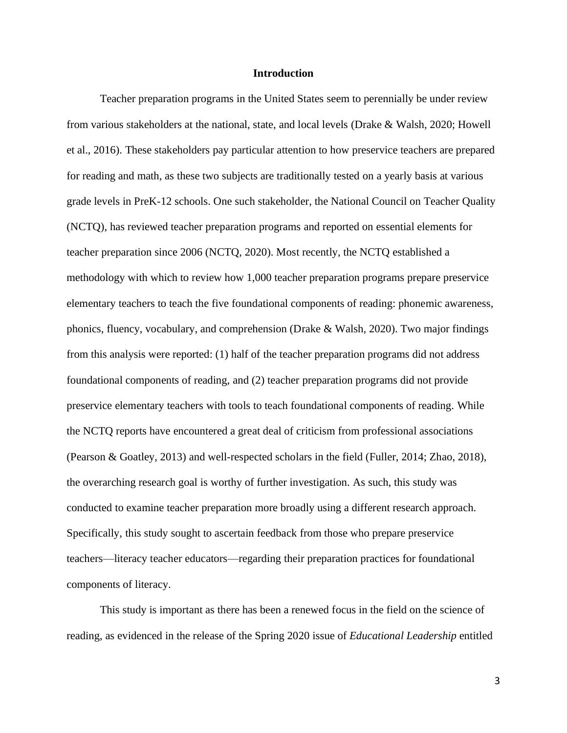#### **Introduction**

Teacher preparation programs in the United States seem to perennially be under review from various stakeholders at the national, state, and local levels (Drake & Walsh, 2020; Howell et al., 2016). These stakeholders pay particular attention to how preservice teachers are prepared for reading and math, as these two subjects are traditionally tested on a yearly basis at various grade levels in PreK-12 schools. One such stakeholder, the National Council on Teacher Quality (NCTQ), has reviewed teacher preparation programs and reported on essential elements for teacher preparation since 2006 (NCTQ, 2020). Most recently, the NCTQ established a methodology with which to review how 1,000 teacher preparation programs prepare preservice elementary teachers to teach the five foundational components of reading: phonemic awareness, phonics, fluency, vocabulary, and comprehension (Drake & Walsh, 2020). Two major findings from this analysis were reported: (1) half of the teacher preparation programs did not address foundational components of reading, and (2) teacher preparation programs did not provide preservice elementary teachers with tools to teach foundational components of reading. While the NCTQ reports have encountered a great deal of criticism from professional associations (Pearson & Goatley, 2013) and well-respected scholars in the field (Fuller, 2014; Zhao, 2018), the overarching research goal is worthy of further investigation. As such, this study was conducted to examine teacher preparation more broadly using a different research approach. Specifically, this study sought to ascertain feedback from those who prepare preservice teachers—literacy teacher educators—regarding their preparation practices for foundational components of literacy.

This study is important as there has been a renewed focus in the field on the science of reading, as evidenced in the release of the Spring 2020 issue of *Educational Leadership* entitled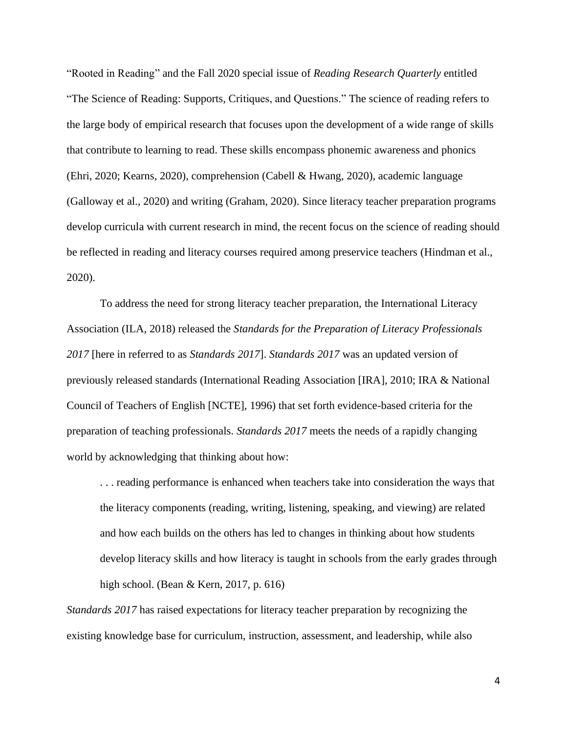"Rooted in Reading" and the Fall 2020 special issue of *Reading Research Quarterly* entitled "The Science of Reading: Supports, Critiques, and Questions." The science of reading refers to the large body of empirical research that focuses upon the development of a wide range of skills that contribute to learning to read. These skills encompass phonemic awareness and phonics (Ehri, 2020; Kearns, 2020), comprehension (Cabell & Hwang, 2020), academic language (Galloway et al., 2020) and writing (Graham, 2020). Since literacy teacher preparation programs develop curricula with current research in mind, the recent focus on the science of reading should be reflected in reading and literacy courses required among preservice teachers (Hindman et al., 2020).

To address the need for strong literacy teacher preparation, the International Literacy Association (ILA, 2018) released the *Standards for the Preparation of Literacy Professionals 2017* [here in referred to as *Standards 2017*]. *Standards 2017* was an updated version of previously released standards (International Reading Association [IRA], 2010; IRA & National Council of Teachers of English [NCTE], 1996) that set forth evidence-based criteria for the preparation of teaching professionals. *Standards 2017* meets the needs of a rapidly changing world by acknowledging that thinking about how:

. . . reading performance is enhanced when teachers take into consideration the ways that the literacy components (reading, writing, listening, speaking, and viewing) are related and how each builds on the others has led to changes in thinking about how students develop literacy skills and how literacy is taught in schools from the early grades through high school. (Bean & Kern, 2017, p. 616)

*Standards 2017* has raised expectations for literacy teacher preparation by recognizing the existing knowledge base for curriculum, instruction, assessment, and leadership, while also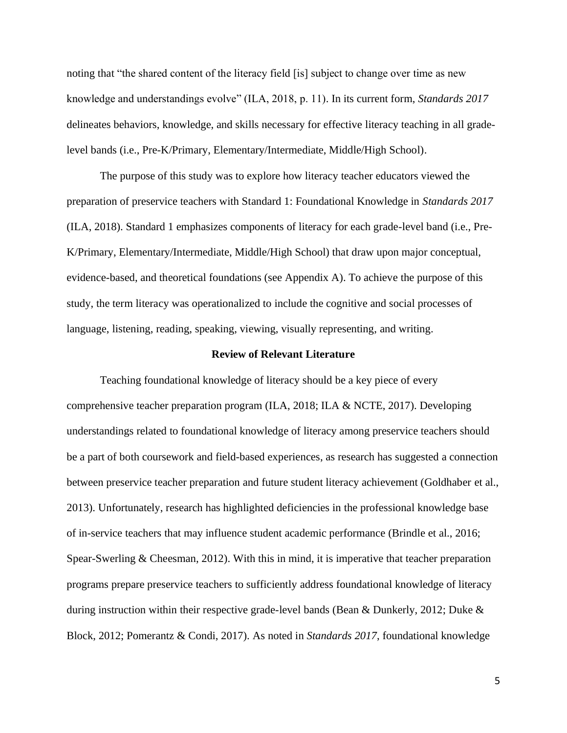noting that "the shared content of the literacy field [is] subject to change over time as new knowledge and understandings evolve" (ILA, 2018, p. 11). In its current form, *Standards 2017*  delineates behaviors, knowledge, and skills necessary for effective literacy teaching in all gradelevel bands (i.e., Pre-K/Primary, Elementary/Intermediate, Middle/High School).

The purpose of this study was to explore how literacy teacher educators viewed the preparation of preservice teachers with Standard 1: Foundational Knowledge in *Standards 2017* (ILA, 2018). Standard 1 emphasizes components of literacy for each grade-level band (i.e., Pre-K/Primary, Elementary/Intermediate, Middle/High School) that draw upon major conceptual, evidence-based, and theoretical foundations (see Appendix A). To achieve the purpose of this study, the term literacy was operationalized to include the cognitive and social processes of language, listening, reading, speaking, viewing, visually representing, and writing.

#### **Review of Relevant Literature**

Teaching foundational knowledge of literacy should be a key piece of every comprehensive teacher preparation program (ILA, 2018; ILA & NCTE, 2017). Developing understandings related to foundational knowledge of literacy among preservice teachers should be a part of both coursework and field-based experiences, as research has suggested a connection between preservice teacher preparation and future student literacy achievement (Goldhaber et al., 2013). Unfortunately, research has highlighted deficiencies in the professional knowledge base of in-service teachers that may influence student academic performance (Brindle et al., 2016; Spear-Swerling & Cheesman, 2012). With this in mind, it is imperative that teacher preparation programs prepare preservice teachers to sufficiently address foundational knowledge of literacy during instruction within their respective grade-level bands (Bean & Dunkerly, 2012; Duke & Block, 2012; Pomerantz & Condi, 2017). As noted in *Standards 2017*, foundational knowledge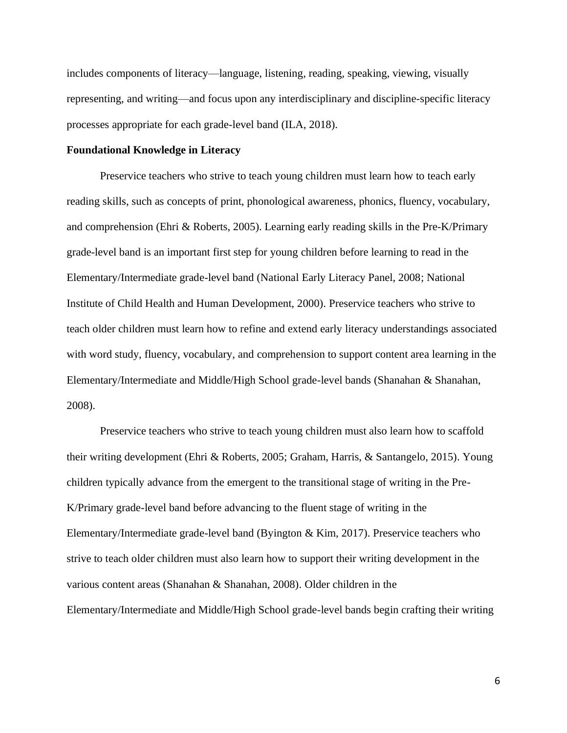includes components of literacy—language, listening, reading, speaking, viewing, visually representing, and writing—and focus upon any interdisciplinary and discipline-specific literacy processes appropriate for each grade-level band (ILA, 2018).

#### **Foundational Knowledge in Literacy**

Preservice teachers who strive to teach young children must learn how to teach early reading skills, such as concepts of print, phonological awareness, phonics, fluency, vocabulary, and comprehension (Ehri & Roberts, 2005). Learning early reading skills in the Pre-K/Primary grade-level band is an important first step for young children before learning to read in the Elementary/Intermediate grade-level band (National Early Literacy Panel, 2008; National Institute of Child Health and Human Development, 2000). Preservice teachers who strive to teach older children must learn how to refine and extend early literacy understandings associated with word study, fluency, vocabulary, and comprehension to support content area learning in the Elementary/Intermediate and Middle/High School grade-level bands (Shanahan & Shanahan, 2008).

Preservice teachers who strive to teach young children must also learn how to scaffold their writing development (Ehri & Roberts, 2005; Graham, Harris, & Santangelo, 2015). Young children typically advance from the emergent to the transitional stage of writing in the Pre-K/Primary grade-level band before advancing to the fluent stage of writing in the Elementary/Intermediate grade-level band (Byington & Kim, 2017). Preservice teachers who strive to teach older children must also learn how to support their writing development in the various content areas (Shanahan & Shanahan, 2008). Older children in the Elementary/Intermediate and Middle/High School grade-level bands begin crafting their writing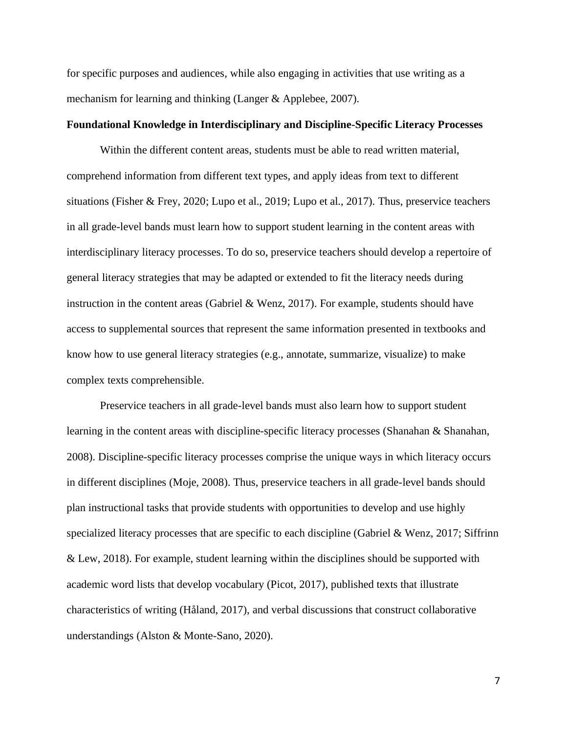for specific purposes and audiences, while also engaging in activities that use writing as a mechanism for learning and thinking (Langer & Applebee, 2007).

#### **Foundational Knowledge in Interdisciplinary and Discipline-Specific Literacy Processes**

Within the different content areas, students must be able to read written material, comprehend information from different text types, and apply ideas from text to different situations (Fisher & Frey, 2020; Lupo et al., 2019; Lupo et al., 2017). Thus, preservice teachers in all grade-level bands must learn how to support student learning in the content areas with interdisciplinary literacy processes. To do so, preservice teachers should develop a repertoire of general literacy strategies that may be adapted or extended to fit the literacy needs during instruction in the content areas (Gabriel & Wenz, 2017). For example, students should have access to supplemental sources that represent the same information presented in textbooks and know how to use general literacy strategies (e.g., annotate, summarize, visualize) to make complex texts comprehensible.

Preservice teachers in all grade-level bands must also learn how to support student learning in the content areas with discipline-specific literacy processes (Shanahan & Shanahan, 2008). Discipline-specific literacy processes comprise the unique ways in which literacy occurs in different disciplines (Moje, 2008). Thus, preservice teachers in all grade-level bands should plan instructional tasks that provide students with opportunities to develop and use highly specialized literacy processes that are specific to each discipline (Gabriel & Wenz, 2017; Siffrinn & Lew, 2018). For example, student learning within the disciplines should be supported with academic word lists that develop vocabulary (Picot, 2017), published texts that illustrate characteristics of writing (Håland, 2017), and verbal discussions that construct collaborative understandings (Alston & Monte-Sano, 2020).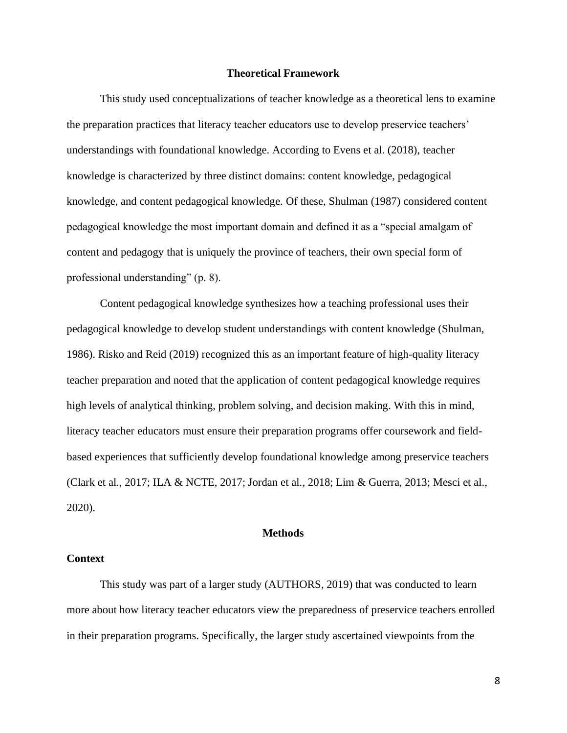#### **Theoretical Framework**

This study used conceptualizations of teacher knowledge as a theoretical lens to examine the preparation practices that literacy teacher educators use to develop preservice teachers' understandings with foundational knowledge. According to Evens et al. (2018), teacher knowledge is characterized by three distinct domains: content knowledge, pedagogical knowledge, and content pedagogical knowledge. Of these, Shulman (1987) considered content pedagogical knowledge the most important domain and defined it as a "special amalgam of content and pedagogy that is uniquely the province of teachers, their own special form of professional understanding" (p. 8).

Content pedagogical knowledge synthesizes how a teaching professional uses their pedagogical knowledge to develop student understandings with content knowledge (Shulman, 1986). Risko and Reid (2019) recognized this as an important feature of high-quality literacy teacher preparation and noted that the application of content pedagogical knowledge requires high levels of analytical thinking, problem solving, and decision making. With this in mind, literacy teacher educators must ensure their preparation programs offer coursework and fieldbased experiences that sufficiently develop foundational knowledge among preservice teachers (Clark et al., 2017; ILA & NCTE, 2017; Jordan et al., 2018; Lim & Guerra, 2013; Mesci et al., 2020).

#### **Methods**

#### **Context**

This study was part of a larger study (AUTHORS, 2019) that was conducted to learn more about how literacy teacher educators view the preparedness of preservice teachers enrolled in their preparation programs. Specifically, the larger study ascertained viewpoints from the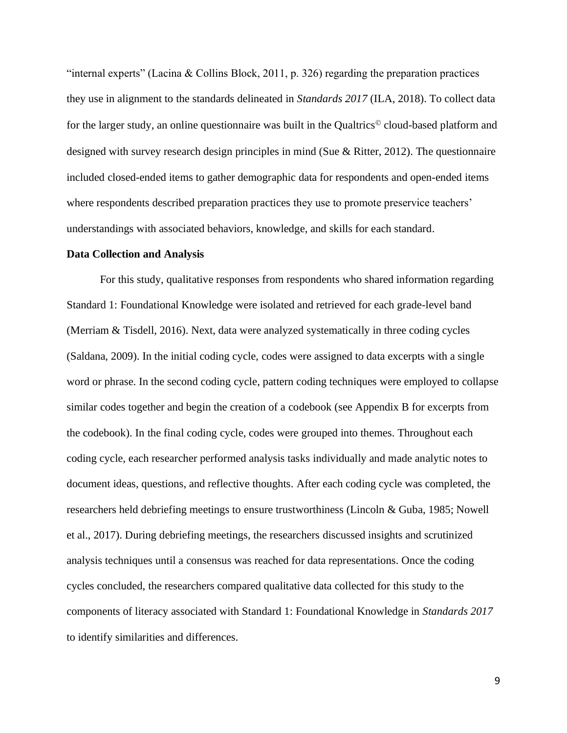"internal experts" (Lacina & Collins Block, 2011, p. 326) regarding the preparation practices they use in alignment to the standards delineated in *Standards 2017* (ILA, 2018). To collect data for the larger study, an online questionnaire was built in the Qualtrics<sup>®</sup> cloud-based platform and designed with survey research design principles in mind (Sue & Ritter, 2012). The questionnaire included closed-ended items to gather demographic data for respondents and open-ended items where respondents described preparation practices they use to promote preservice teachers' understandings with associated behaviors, knowledge, and skills for each standard.

#### **Data Collection and Analysis**

For this study, qualitative responses from respondents who shared information regarding Standard 1: Foundational Knowledge were isolated and retrieved for each grade-level band (Merriam & Tisdell, 2016). Next, data were analyzed systematically in three coding cycles (Saldana, 2009). In the initial coding cycle, codes were assigned to data excerpts with a single word or phrase. In the second coding cycle, pattern coding techniques were employed to collapse similar codes together and begin the creation of a codebook (see Appendix B for excerpts from the codebook). In the final coding cycle, codes were grouped into themes. Throughout each coding cycle, each researcher performed analysis tasks individually and made analytic notes to document ideas, questions, and reflective thoughts. After each coding cycle was completed, the researchers held debriefing meetings to ensure trustworthiness (Lincoln & Guba, 1985; Nowell et al., 2017). During debriefing meetings, the researchers discussed insights and scrutinized analysis techniques until a consensus was reached for data representations. Once the coding cycles concluded, the researchers compared qualitative data collected for this study to the components of literacy associated with Standard 1: Foundational Knowledge in *Standards 2017* to identify similarities and differences.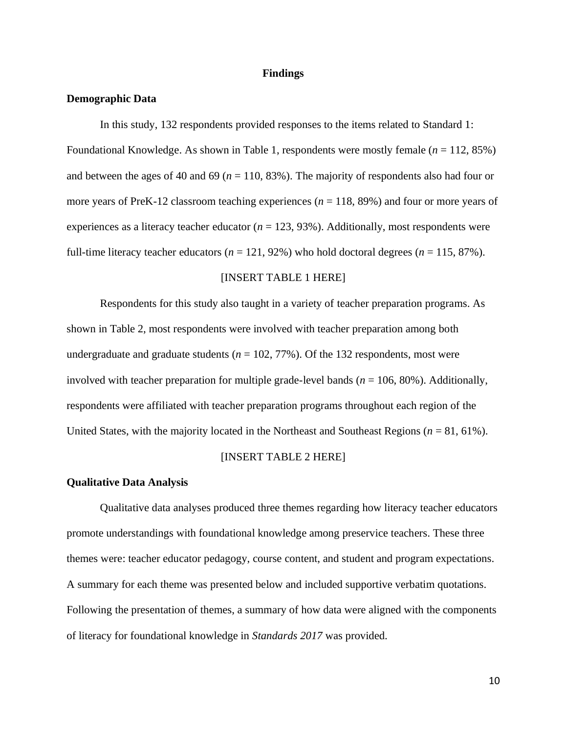#### **Findings**

#### **Demographic Data**

In this study, 132 respondents provided responses to the items related to Standard 1: Foundational Knowledge. As shown in Table 1, respondents were mostly female (*n* = 112, 85%) and between the ages of 40 and 69 ( $n = 110, 83\%$ ). The majority of respondents also had four or more years of PreK-12 classroom teaching experiences (*n* = 118, 89%) and four or more years of experiences as a literacy teacher educator ( $n = 123, 93\%$ ). Additionally, most respondents were full-time literacy teacher educators  $(n = 121, 92\%)$  who hold doctoral degrees  $(n = 115, 87\%)$ .

#### [INSERT TABLE 1 HERE]

Respondents for this study also taught in a variety of teacher preparation programs. As shown in Table 2, most respondents were involved with teacher preparation among both undergraduate and graduate students ( $n = 102, 77\%$ ). Of the 132 respondents, most were involved with teacher preparation for multiple grade-level bands (*n* = 106, 80%). Additionally, respondents were affiliated with teacher preparation programs throughout each region of the United States, with the majority located in the Northeast and Southeast Regions (*n* = 81, 61%).

#### [INSERT TABLE 2 HERE]

#### **Qualitative Data Analysis**

Qualitative data analyses produced three themes regarding how literacy teacher educators promote understandings with foundational knowledge among preservice teachers. These three themes were: teacher educator pedagogy, course content, and student and program expectations. A summary for each theme was presented below and included supportive verbatim quotations. Following the presentation of themes, a summary of how data were aligned with the components of literacy for foundational knowledge in *Standards 2017* was provided.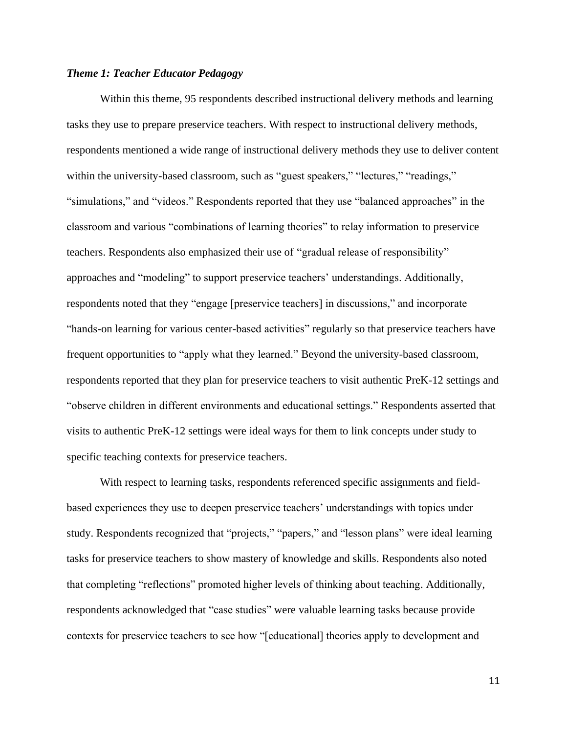#### *Theme 1: Teacher Educator Pedagogy*

Within this theme, 95 respondents described instructional delivery methods and learning tasks they use to prepare preservice teachers. With respect to instructional delivery methods, respondents mentioned a wide range of instructional delivery methods they use to deliver content within the university-based classroom, such as "guest speakers," "lectures," "readings," "simulations," and "videos." Respondents reported that they use "balanced approaches" in the classroom and various "combinations of learning theories" to relay information to preservice teachers. Respondents also emphasized their use of "gradual release of responsibility" approaches and "modeling" to support preservice teachers' understandings. Additionally, respondents noted that they "engage [preservice teachers] in discussions," and incorporate "hands-on learning for various center-based activities" regularly so that preservice teachers have frequent opportunities to "apply what they learned." Beyond the university-based classroom, respondents reported that they plan for preservice teachers to visit authentic PreK-12 settings and "observe children in different environments and educational settings." Respondents asserted that visits to authentic PreK-12 settings were ideal ways for them to link concepts under study to specific teaching contexts for preservice teachers.

With respect to learning tasks, respondents referenced specific assignments and fieldbased experiences they use to deepen preservice teachers' understandings with topics under study. Respondents recognized that "projects," "papers," and "lesson plans" were ideal learning tasks for preservice teachers to show mastery of knowledge and skills. Respondents also noted that completing "reflections" promoted higher levels of thinking about teaching. Additionally, respondents acknowledged that "case studies" were valuable learning tasks because provide contexts for preservice teachers to see how "[educational] theories apply to development and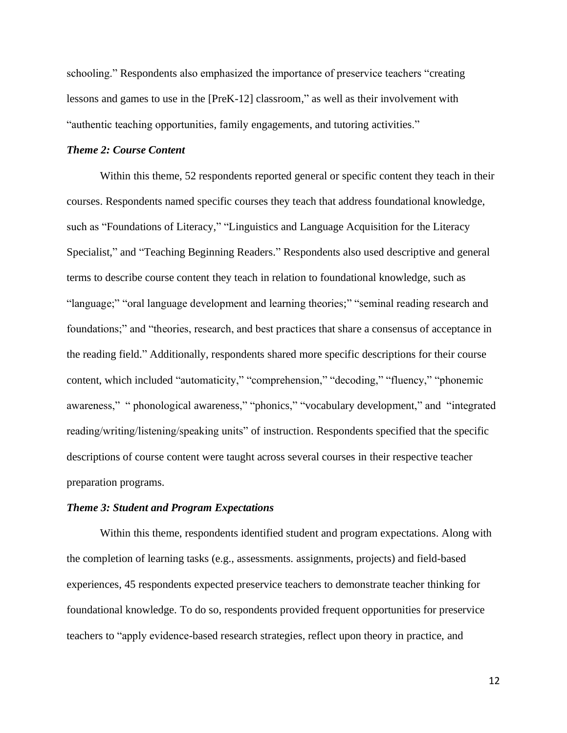schooling." Respondents also emphasized the importance of preservice teachers "creating lessons and games to use in the [PreK-12] classroom," as well as their involvement with "authentic teaching opportunities, family engagements, and tutoring activities."

#### *Theme 2: Course Content*

Within this theme, 52 respondents reported general or specific content they teach in their courses. Respondents named specific courses they teach that address foundational knowledge, such as "Foundations of Literacy," "Linguistics and Language Acquisition for the Literacy Specialist," and "Teaching Beginning Readers." Respondents also used descriptive and general terms to describe course content they teach in relation to foundational knowledge, such as "language;" "oral language development and learning theories;" "seminal reading research and foundations;" and "theories, research, and best practices that share a consensus of acceptance in the reading field." Additionally, respondents shared more specific descriptions for their course content, which included "automaticity," "comprehension," "decoding," "fluency," "phonemic awareness," " phonological awareness," "phonics," "vocabulary development," and "integrated reading/writing/listening/speaking units" of instruction. Respondents specified that the specific descriptions of course content were taught across several courses in their respective teacher preparation programs.

#### *Theme 3: Student and Program Expectations*

Within this theme, respondents identified student and program expectations. Along with the completion of learning tasks (e.g., assessments. assignments, projects) and field-based experiences, 45 respondents expected preservice teachers to demonstrate teacher thinking for foundational knowledge. To do so, respondents provided frequent opportunities for preservice teachers to "apply evidence-based research strategies, reflect upon theory in practice, and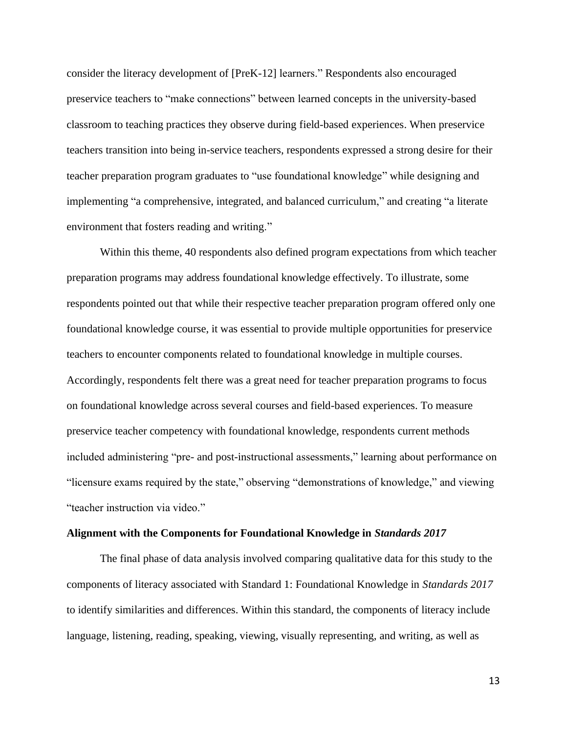consider the literacy development of [PreK-12] learners." Respondents also encouraged preservice teachers to "make connections" between learned concepts in the university-based classroom to teaching practices they observe during field-based experiences. When preservice teachers transition into being in-service teachers, respondents expressed a strong desire for their teacher preparation program graduates to "use foundational knowledge" while designing and implementing "a comprehensive, integrated, and balanced curriculum," and creating "a literate environment that fosters reading and writing."

Within this theme, 40 respondents also defined program expectations from which teacher preparation programs may address foundational knowledge effectively. To illustrate, some respondents pointed out that while their respective teacher preparation program offered only one foundational knowledge course, it was essential to provide multiple opportunities for preservice teachers to encounter components related to foundational knowledge in multiple courses. Accordingly, respondents felt there was a great need for teacher preparation programs to focus on foundational knowledge across several courses and field-based experiences. To measure preservice teacher competency with foundational knowledge, respondents current methods included administering "pre- and post-instructional assessments," learning about performance on "licensure exams required by the state," observing "demonstrations of knowledge," and viewing "teacher instruction via video."

#### **Alignment with the Components for Foundational Knowledge in** *Standards 2017*

The final phase of data analysis involved comparing qualitative data for this study to the components of literacy associated with Standard 1: Foundational Knowledge in *Standards 2017* to identify similarities and differences. Within this standard, the components of literacy include language, listening, reading, speaking, viewing, visually representing, and writing, as well as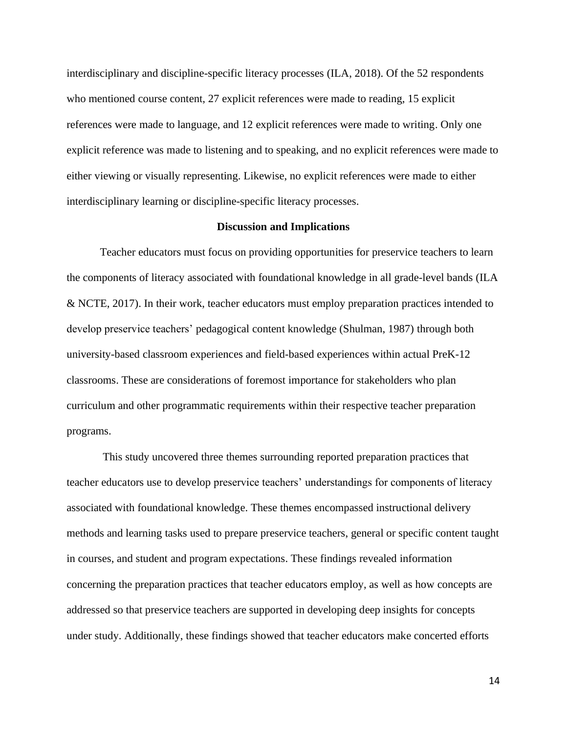interdisciplinary and discipline-specific literacy processes (ILA, 2018). Of the 52 respondents who mentioned course content, 27 explicit references were made to reading, 15 explicit references were made to language, and 12 explicit references were made to writing. Only one explicit reference was made to listening and to speaking, and no explicit references were made to either viewing or visually representing. Likewise, no explicit references were made to either interdisciplinary learning or discipline-specific literacy processes.

#### **Discussion and Implications**

Teacher educators must focus on providing opportunities for preservice teachers to learn the components of literacy associated with foundational knowledge in all grade-level bands (ILA & NCTE, 2017). In their work, teacher educators must employ preparation practices intended to develop preservice teachers' pedagogical content knowledge (Shulman, 1987) through both university-based classroom experiences and field-based experiences within actual PreK-12 classrooms. These are considerations of foremost importance for stakeholders who plan curriculum and other programmatic requirements within their respective teacher preparation programs.

This study uncovered three themes surrounding reported preparation practices that teacher educators use to develop preservice teachers' understandings for components of literacy associated with foundational knowledge. These themes encompassed instructional delivery methods and learning tasks used to prepare preservice teachers, general or specific content taught in courses, and student and program expectations. These findings revealed information concerning the preparation practices that teacher educators employ, as well as how concepts are addressed so that preservice teachers are supported in developing deep insights for concepts under study. Additionally, these findings showed that teacher educators make concerted efforts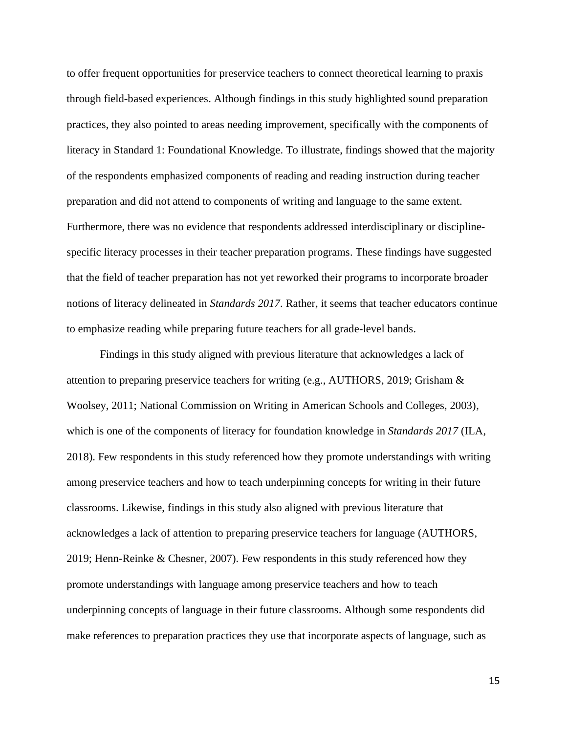to offer frequent opportunities for preservice teachers to connect theoretical learning to praxis through field-based experiences. Although findings in this study highlighted sound preparation practices, they also pointed to areas needing improvement, specifically with the components of literacy in Standard 1: Foundational Knowledge. To illustrate, findings showed that the majority of the respondents emphasized components of reading and reading instruction during teacher preparation and did not attend to components of writing and language to the same extent. Furthermore, there was no evidence that respondents addressed interdisciplinary or disciplinespecific literacy processes in their teacher preparation programs. These findings have suggested that the field of teacher preparation has not yet reworked their programs to incorporate broader notions of literacy delineated in *Standards 2017*. Rather, it seems that teacher educators continue to emphasize reading while preparing future teachers for all grade-level bands.

Findings in this study aligned with previous literature that acknowledges a lack of attention to preparing preservice teachers for writing (e.g., AUTHORS, 2019; Grisham & Woolsey, 2011; National Commission on Writing in American Schools and Colleges, 2003), which is one of the components of literacy for foundation knowledge in *Standards 2017* (ILA, 2018). Few respondents in this study referenced how they promote understandings with writing among preservice teachers and how to teach underpinning concepts for writing in their future classrooms. Likewise, findings in this study also aligned with previous literature that acknowledges a lack of attention to preparing preservice teachers for language (AUTHORS, 2019; Henn-Reinke & Chesner, 2007). Few respondents in this study referenced how they promote understandings with language among preservice teachers and how to teach underpinning concepts of language in their future classrooms. Although some respondents did make references to preparation practices they use that incorporate aspects of language, such as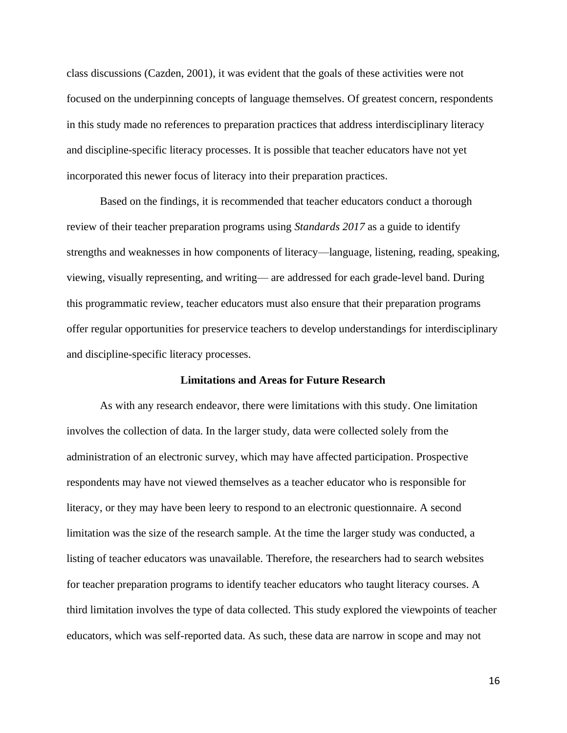class discussions (Cazden, 2001), it was evident that the goals of these activities were not focused on the underpinning concepts of language themselves. Of greatest concern, respondents in this study made no references to preparation practices that address interdisciplinary literacy and discipline-specific literacy processes. It is possible that teacher educators have not yet incorporated this newer focus of literacy into their preparation practices.

Based on the findings, it is recommended that teacher educators conduct a thorough review of their teacher preparation programs using *Standards 2017* as a guide to identify strengths and weaknesses in how components of literacy—language, listening, reading, speaking, viewing, visually representing, and writing— are addressed for each grade-level band. During this programmatic review, teacher educators must also ensure that their preparation programs offer regular opportunities for preservice teachers to develop understandings for interdisciplinary and discipline-specific literacy processes.

#### **Limitations and Areas for Future Research**

As with any research endeavor, there were limitations with this study. One limitation involves the collection of data. In the larger study, data were collected solely from the administration of an electronic survey, which may have affected participation. Prospective respondents may have not viewed themselves as a teacher educator who is responsible for literacy, or they may have been leery to respond to an electronic questionnaire. A second limitation was the size of the research sample. At the time the larger study was conducted, a listing of teacher educators was unavailable. Therefore, the researchers had to search websites for teacher preparation programs to identify teacher educators who taught literacy courses. A third limitation involves the type of data collected. This study explored the viewpoints of teacher educators, which was self-reported data. As such, these data are narrow in scope and may not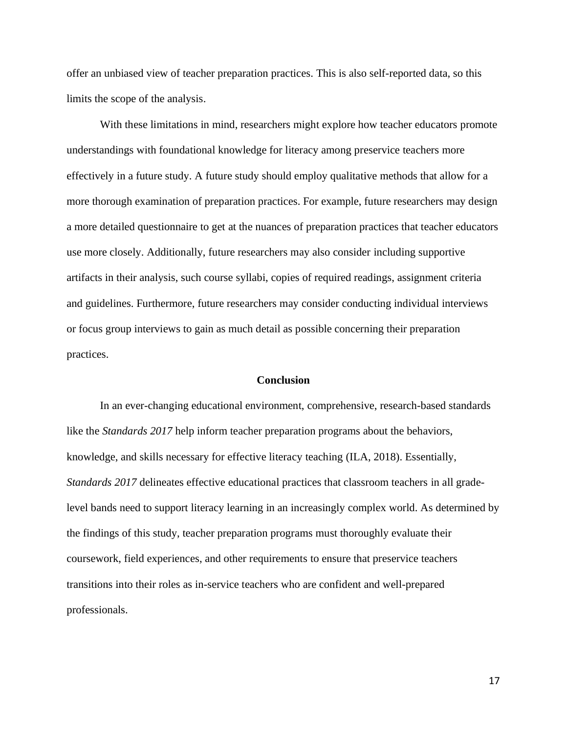offer an unbiased view of teacher preparation practices. This is also self-reported data, so this limits the scope of the analysis.

With these limitations in mind, researchers might explore how teacher educators promote understandings with foundational knowledge for literacy among preservice teachers more effectively in a future study. A future study should employ qualitative methods that allow for a more thorough examination of preparation practices. For example, future researchers may design a more detailed questionnaire to get at the nuances of preparation practices that teacher educators use more closely. Additionally, future researchers may also consider including supportive artifacts in their analysis, such course syllabi, copies of required readings, assignment criteria and guidelines. Furthermore, future researchers may consider conducting individual interviews or focus group interviews to gain as much detail as possible concerning their preparation practices.

#### **Conclusion**

In an ever-changing educational environment, comprehensive, research-based standards like the *Standards 2017* help inform teacher preparation programs about the behaviors, knowledge, and skills necessary for effective literacy teaching (ILA, 2018). Essentially, *Standards 2017* delineates effective educational practices that classroom teachers in all gradelevel bands need to support literacy learning in an increasingly complex world. As determined by the findings of this study, teacher preparation programs must thoroughly evaluate their coursework, field experiences, and other requirements to ensure that preservice teachers transitions into their roles as in-service teachers who are confident and well-prepared professionals.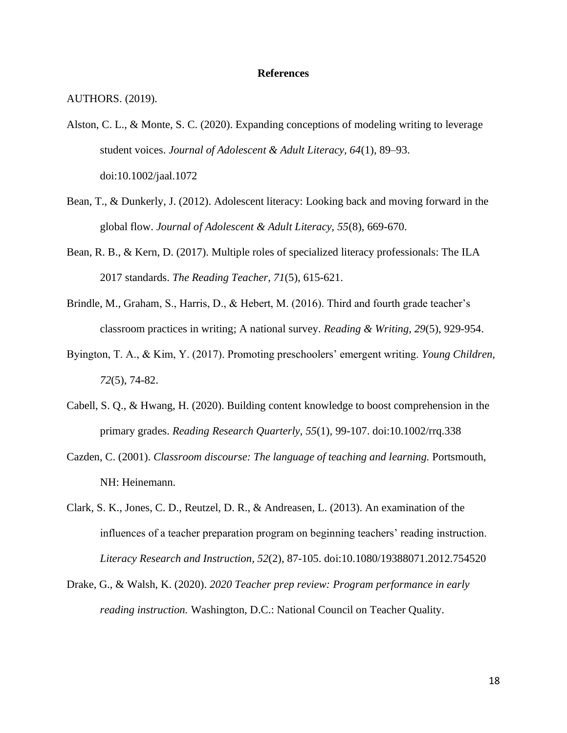#### **References**

AUTHORS. (2019).

- Alston, C. L., & Monte, S. C. (2020). Expanding conceptions of modeling writing to leverage student voices. *Journal of Adolescent & Adult Literacy, 64*(1), 89–93. doi:10.1002/jaal.1072
- Bean, T., & Dunkerly, J. (2012). Adolescent literacy: Looking back and moving forward in the global flow. *Journal of Adolescent & Adult Literacy, 55*(8), 669-670.
- Bean, R. B., & Kern, D. (2017). Multiple roles of specialized literacy professionals: The ILA 2017 standards. *The Reading Teacher, 71*(5), 615-621.
- Brindle, M., Graham, S., Harris, D., & Hebert, M. (2016). Third and fourth grade teacher's classroom practices in writing; A national survey. *Reading & Writing, 29*(5), 929-954.
- Byington, T. A., & Kim, Y. (2017). Promoting preschoolers' emergent writing. *Young Children, 72*(5), 74-82.
- Cabell, S. Q., & Hwang, H. (2020). Building content knowledge to boost comprehension in the primary grades. *Reading Research Quarterly, 55*(1), 99-107. doi:10.1002/rrq.338
- Cazden, C. (2001). *Classroom discourse: The language of teaching and learning.* Portsmouth, NH: Heinemann.
- Clark, S. K., Jones, C. D., Reutzel, D. R., & Andreasen, L. (2013). An examination of the influences of a teacher preparation program on beginning teachers' reading instruction. *Literacy Research and Instruction, 52*(2), 87-105. doi:10.1080/19388071.2012.754520
- Drake, G., & Walsh, K. (2020). *2020 Teacher prep review: Program performance in early reading instruction.* Washington, D.C.: National Council on Teacher Quality.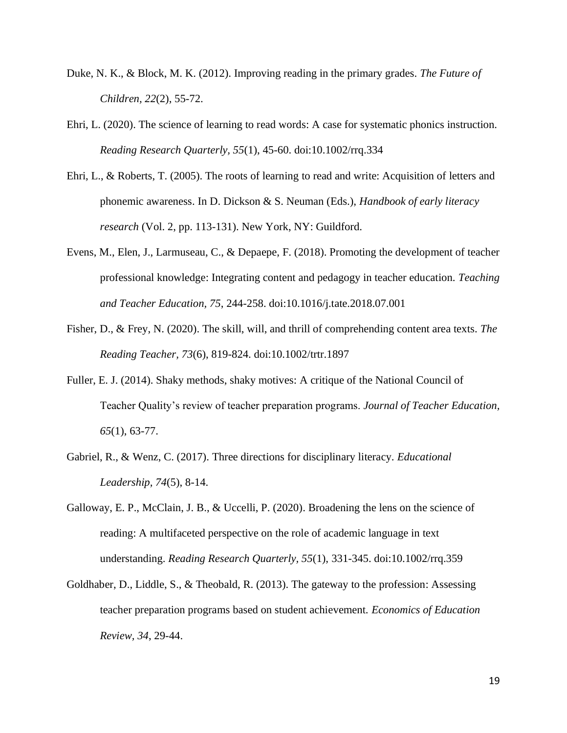- Duke, N. K., & Block, M. K. (2012). Improving reading in the primary grades. *The Future of Children, 22*(2), 55-72.
- Ehri, L. (2020). The science of learning to read words: A case for systematic phonics instruction. *Reading Research Quarterly, 55*(1), 45-60. doi:10.1002/rrq.334
- Ehri, L., & Roberts, T. (2005). The roots of learning to read and write: Acquisition of letters and phonemic awareness. In D. Dickson & S. Neuman (Eds.), *Handbook of early literacy research* (Vol. 2, pp. 113-131). New York, NY: Guildford.
- Evens, M., Elen, J., Larmuseau, C., & Depaepe, F. (2018). Promoting the development of teacher professional knowledge: Integrating content and pedagogy in teacher education. *Teaching and Teacher Education, 75*, 244-258. doi:10.1016/j.tate.2018.07.001
- Fisher, D., & Frey, N. (2020). The skill, will, and thrill of comprehending content area texts. *The Reading Teacher, 73*(6), 819-824. doi:10.1002/trtr.1897
- Fuller, E. J. (2014). Shaky methods, shaky motives: A critique of the National Council of Teacher Quality's review of teacher preparation programs. *Journal of Teacher Education, 65*(1), 63-77.
- Gabriel, R., & Wenz, C. (2017). Three directions for disciplinary literacy. *Educational Leadership, 74*(5), 8-14.
- Galloway, E. P., McClain, J. B., & Uccelli, P. (2020). Broadening the lens on the science of reading: A multifaceted perspective on the role of academic language in text understanding. *Reading Research Quarterly, 55*(1), 331-345. doi:10.1002/rrq.359
- Goldhaber, D., Liddle, S., & Theobald, R. (2013). The gateway to the profession: Assessing teacher preparation programs based on student achievement. *Economics of Education Review, 34*, 29-44.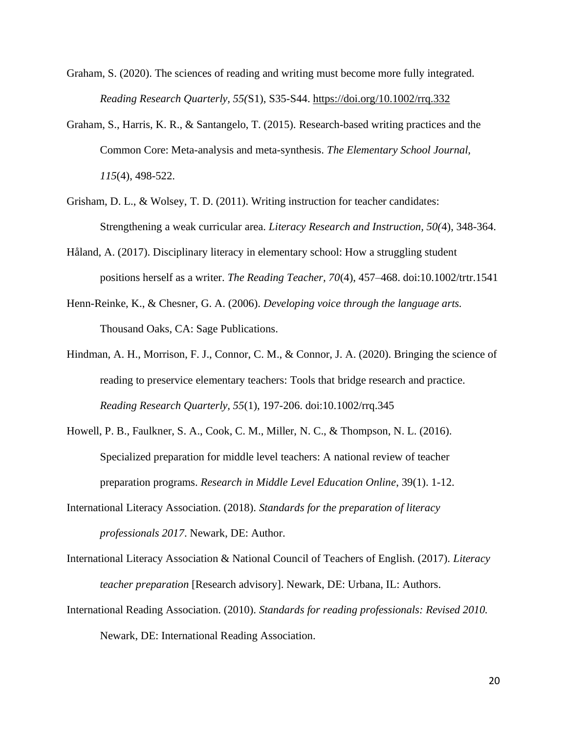- Graham, S. (2020). The sciences of reading and writing must become more fully integrated. *Reading Research Quarterly, 55(*S1), S35-S44. [https://doi.org/10.1002/rrq.332](about:blank)
- Graham, S., Harris, K. R., & Santangelo, T. (2015). Research-based writing practices and the Common Core: Meta-analysis and meta-synthesis. *The Elementary School Journal, 115*(4), 498-522.
- Grisham, D. L., & Wolsey, T. D. (2011). Writing instruction for teacher candidates: Strengthening a weak curricular area. *Literacy Research and Instruction, 50(*4), 348-364.
- Håland, A. (2017). Disciplinary literacy in elementary school: How a struggling student positions herself as a writer. *The Reading Teacher, 70*(4), 457–468. doi:10.1002/trtr.1541
- Henn-Reinke, K., & Chesner, G. A. (2006). *Developing voice through the language arts.* Thousand Oaks, CA: Sage Publications.
- Hindman, A. H., Morrison, F. J., Connor, C. M., & Connor, J. A. (2020). Bringing the science of reading to preservice elementary teachers: Tools that bridge research and practice. *Reading Research Quarterly, 55*(1), 197-206. doi:10.1002/rrq.345
- Howell, P. B., Faulkner, S. A., Cook, C. M., Miller, N. C., & Thompson, N. L. (2016). Specialized preparation for middle level teachers: A national review of teacher preparation programs. *Research in Middle Level Education Online*, 39(1). 1-12.
- International Literacy Association. (2018). *Standards for the preparation of literacy professionals 2017*. Newark, DE: Author.
- International Literacy Association & National Council of Teachers of English. (2017). *Literacy teacher preparation* [Research advisory]. Newark, DE: Urbana, IL: Authors.
- International Reading Association. (2010). *Standards for reading professionals: Revised 2010.* Newark, DE: International Reading Association.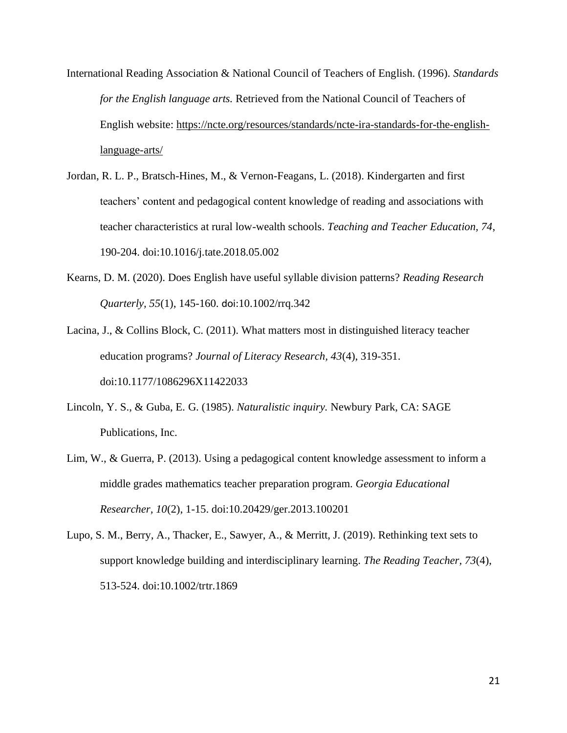- International Reading Association & National Council of Teachers of English. (1996). *Standards for the English language arts.* Retrieved from the National Council of Teachers of English website: [https://ncte.org/resources/standards/ncte-ira-standards-for-the-english](about:blank)[language-arts/](about:blank)
- Jordan, R. L. P., Bratsch-Hines, M., & Vernon-Feagans, L. (2018). Kindergarten and first teachers' content and pedagogical content knowledge of reading and associations with teacher characteristics at rural low-wealth schools. *Teaching and Teacher Education, 74*, 190-204. doi:10.1016/j.tate.2018.05.002
- Kearns, D. M. (2020). Does English have useful syllable division patterns? *Reading Research Quarterly, 55*(1), 145-160. doi:10.1002/rrq.342
- Lacina, J., & Collins Block, C. (2011). What matters most in distinguished literacy teacher education programs? *Journal of Literacy Research, 43*(4), 319-351. doi:10.1177/1086296X11422033
- Lincoln, Y. S., & Guba, E. G. (1985). *Naturalistic inquiry.* Newbury Park, CA: SAGE Publications, Inc.
- Lim, W., & Guerra, P. (2013). Using a pedagogical content knowledge assessment to inform a middle grades mathematics teacher preparation program. *Georgia Educational Researcher, 10*(2), 1-15. doi:10.20429/ger.2013.100201
- Lupo, S. M., Berry, A., Thacker, E., Sawyer, A., & Merritt, J. (2019). Rethinking text sets to support knowledge building and interdisciplinary learning. *The Reading Teacher, 73*(4), 513-524. doi:10.1002/trtr.1869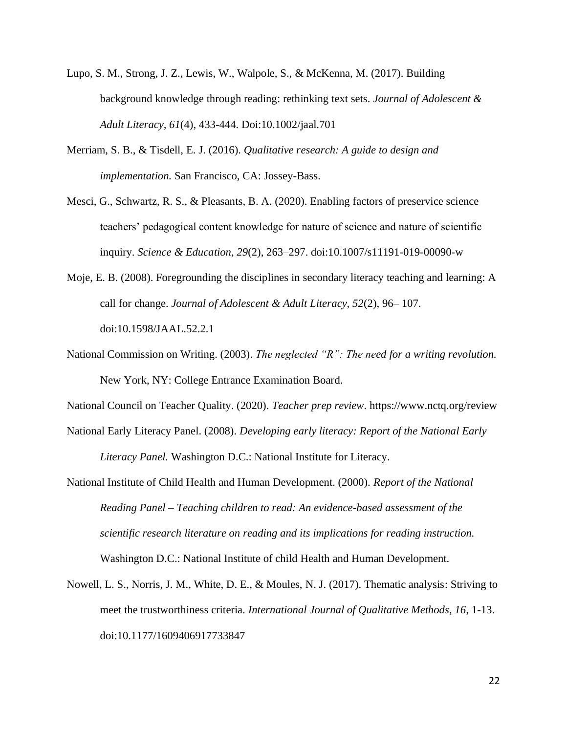- Lupo, S. M., Strong, J. Z., Lewis, W., Walpole, S., & McKenna, M. (2017). Building background knowledge through reading: rethinking text sets. *Journal of Adolescent & Adult Literacy, 61*(4), 433-444. Doi:10.1002/jaal.701
- Merriam, S. B., & Tisdell, E. J. (2016). *Qualitative research: A guide to design and implementation.* San Francisco, CA: Jossey-Bass.
- Mesci, G., Schwartz, R. S., & Pleasants, B. A. (2020). Enabling factors of preservice science teachers' pedagogical content knowledge for nature of science and nature of scientific inquiry. *Science & Education, 29*(2), 263–297. doi:10.1007/s11191-019-00090-w
- Moje, E. B. (2008). Foregrounding the disciplines in secondary literacy teaching and learning: A call for change. *Journal of Adolescent & Adult Literacy, 52*(2), 96– 107. doi:10.1598/JAAL.52.2.1
- National Commission on Writing. (2003). *The neglected "R": The need for a writing revolution.* New York, NY: College Entrance Examination Board.

National Council on Teacher Quality. (2020). *Teacher prep review*. https://www.nctq.org/review

- National Early Literacy Panel. (2008). *Developing early literacy: Report of the National Early Literacy Panel.* Washington D.C.: National Institute for Literacy.
- National Institute of Child Health and Human Development. (2000). *Report of the National Reading Panel – Teaching children to read: An evidence-based assessment of the scientific research literature on reading and its implications for reading instruction.* Washington D.C.: National Institute of child Health and Human Development.
- Nowell, L. S., Norris, J. M., White, D. E., & Moules, N. J. (2017). Thematic analysis: Striving to meet the trustworthiness criteria. *International Journal of Qualitative Methods, 16*, 1-13. doi:10.1177/1609406917733847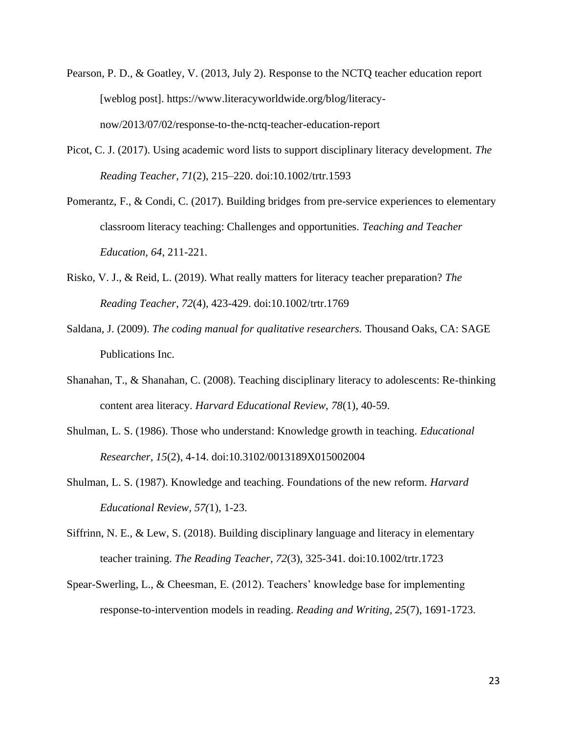- Pearson, P. D., & Goatley, V. (2013, July 2). Response to the NCTQ teacher education report [weblog post]. https://www.literacyworldwide.org/blog/literacynow/2013/07/02/response-to-the-nctq-teacher-education-report
- Picot, C. J. (2017). Using academic word lists to support disciplinary literacy development. *The Reading Teacher, 71*(2), 215–220. doi:10.1002/trtr.1593
- Pomerantz, F., & Condi, C. (2017). Building bridges from pre-service experiences to elementary classroom literacy teaching: Challenges and opportunities. *Teaching and Teacher Education, 64*, 211-221.
- Risko, V. J., & Reid, L. (2019). What really matters for literacy teacher preparation? *The Reading Teacher, 72*(4), 423-429. doi:10.1002/trtr.1769
- Saldana, J. (2009). *The coding manual for qualitative researchers.* Thousand Oaks, CA: SAGE Publications Inc.
- Shanahan, T., & Shanahan, C. (2008). Teaching disciplinary literacy to adolescents: Re-thinking content area literacy. *Harvard Educational Review, 78*(1), 40-59.
- Shulman, L. S. (1986). Those who understand: Knowledge growth in teaching. *Educational Researcher, 15*(2), 4-14. doi:10.3102/0013189X015002004
- Shulman, L. S. (1987). Knowledge and teaching. Foundations of the new reform. *Harvard Educational Review, 57(*1), 1-23.
- Siffrinn, N. E., & Lew, S. (2018). Building disciplinary language and literacy in elementary teacher training. *The Reading Teacher, 72*(3), 325-341. doi:10.1002/trtr.1723
- Spear-Swerling, L., & Cheesman, E. (2012). Teachers' knowledge base for implementing response-to-intervention models in reading. *Reading and Writing, 25*(7), 1691-1723.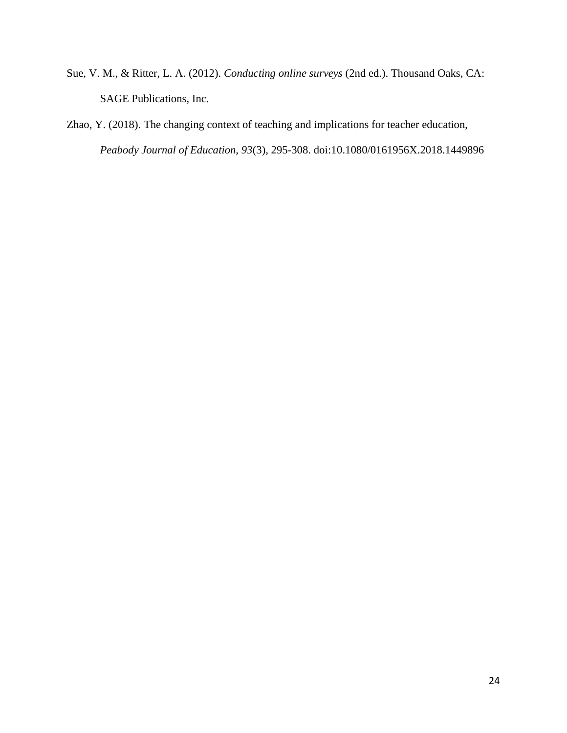- Sue, V. M., & Ritter, L. A. (2012). *Conducting online surveys* (2nd ed.). Thousand Oaks, CA: SAGE Publications, Inc.
- Zhao, Y. (2018). The changing context of teaching and implications for teacher education, *Peabody Journal of Education, 93*(3), 295-308. doi:10.1080/0161956X.2018.1449896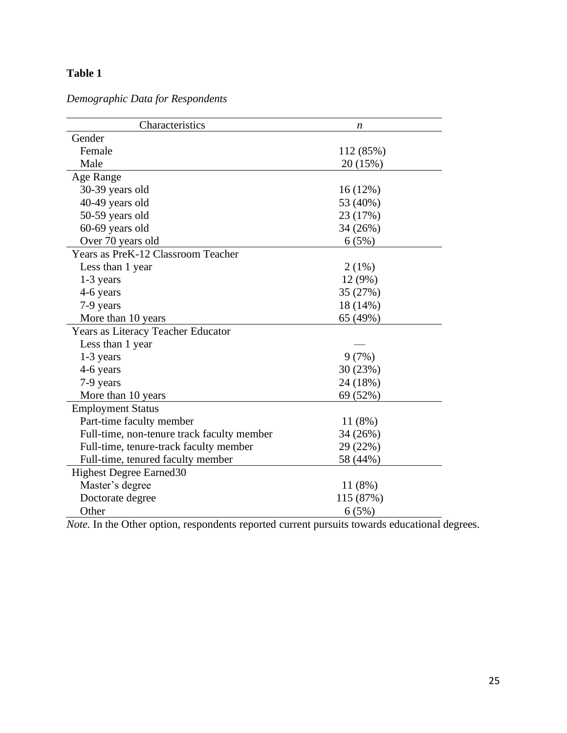### **Table 1**

| Characteristics                            | n         |
|--------------------------------------------|-----------|
| Gender                                     |           |
| Female                                     | 112 (85%) |
| Male                                       | 20 (15%)  |
| Age Range                                  |           |
| 30-39 years old                            | 16(12%)   |
| 40-49 years old                            | 53 (40%)  |
| 50-59 years old                            | 23 (17%)  |
| 60-69 years old                            | 34 (26%)  |
| Over 70 years old                          | 6(5%)     |
| Years as PreK-12 Classroom Teacher         |           |
| Less than 1 year                           | 2(1%)     |
| 1-3 years                                  | 12 (9%)   |
| 4-6 years                                  | 35 (27%)  |
| 7-9 years                                  | 18 (14%)  |
| More than 10 years                         | 65 (49%)  |
| Years as Literacy Teacher Educator         |           |
| Less than 1 year                           |           |
| 1-3 years                                  | 9(7%)     |
| 4-6 years                                  | 30 (23%)  |
| 7-9 years                                  | 24 (18%)  |
| More than 10 years                         | 69 (52%)  |
| <b>Employment Status</b>                   |           |
| Part-time faculty member                   | 11(8%)    |
| Full-time, non-tenure track faculty member | 34 (26%)  |
| Full-time, tenure-track faculty member     | 29 (22%)  |
| Full-time, tenured faculty member          | 58 (44%)  |
| <b>Highest Degree Earned 30</b>            |           |
| Master's degree                            | 11 (8%)   |
| Doctorate degree                           | 115 (87%) |
| Other                                      | 6(5%)     |

*Demographic Data for Respondents*

*Note.* In the Other option, respondents reported current pursuits towards educational degrees.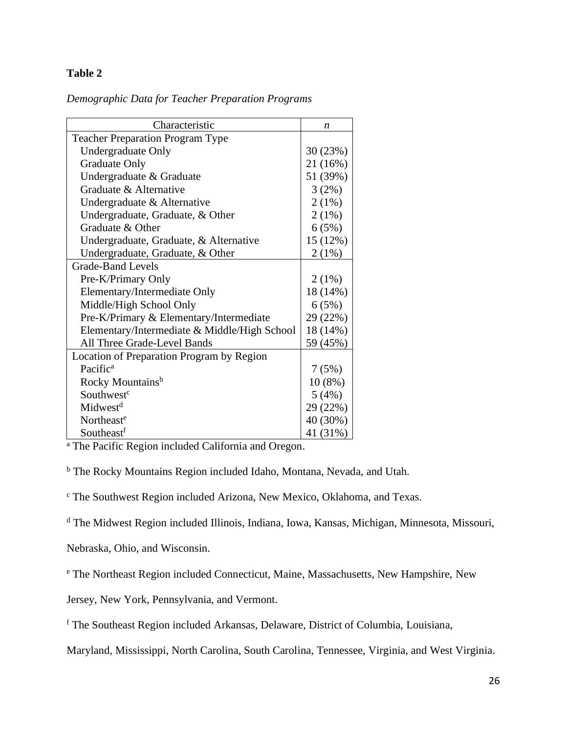### **Table 2**

| Characteristic                               | n         |
|----------------------------------------------|-----------|
| <b>Teacher Preparation Program Type</b>      |           |
| <b>Undergraduate Only</b>                    | 30 (23%)  |
| <b>Graduate Only</b>                         | 21 (16%)  |
| Undergraduate & Graduate                     | 51 (39%)  |
| Graduate & Alternative                       | 3(2%)     |
| Undergraduate & Alternative                  | $2(1\%)$  |
| Undergraduate, Graduate, & Other             | $2(1\%)$  |
| Graduate & Other                             | 6(5%)     |
| Undergraduate, Graduate, & Alternative       | 15 (12%)  |
| Undergraduate, Graduate, & Other             | 2(1%)     |
| <b>Grade-Band Levels</b>                     |           |
| Pre-K/Primary Only                           | $2(1\%)$  |
| Elementary/Intermediate Only                 | 18 (14%)  |
| Middle/High School Only                      | 6(5%)     |
| Pre-K/Primary & Elementary/Intermediate      | 29 (22%)  |
| Elementary/Intermediate & Middle/High School | 18 (14%)  |
| All Three Grade-Level Bands                  | 59 (45%)  |
| Location of Preparation Program by Region    |           |
| Pacific <sup>a</sup>                         | 7(5%)     |
| Rocky Mountains <sup>b</sup>                 | $10(8\%)$ |
| Southwest <sup>c</sup>                       | 5(4%)     |
| Midwest <sup>d</sup>                         | 29 (22%)  |
| Northeast <sup>e</sup>                       | 40 (30%)  |
| Southeastf                                   | 41 (31%)  |

<sup>a</sup> The Pacific Region included California and Oregon.

<sup>b</sup> The Rocky Mountains Region included Idaho, Montana, Nevada, and Utah.

<sup>c</sup> The Southwest Region included Arizona, New Mexico, Oklahoma, and Texas.

<sup>d</sup> The Midwest Region included Illinois, Indiana, Iowa, Kansas, Michigan, Minnesota, Missouri,

Nebraska, Ohio, and Wisconsin.

<sup>e</sup> The Northeast Region included Connecticut, Maine, Massachusetts, New Hampshire, New

Jersey, New York, Pennsylvania, and Vermont.

<sup>f</sup> The Southeast Region included Arkansas, Delaware, District of Columbia, Louisiana,

Maryland, Mississippi, North Carolina, South Carolina, Tennessee, Virginia, and West Virginia.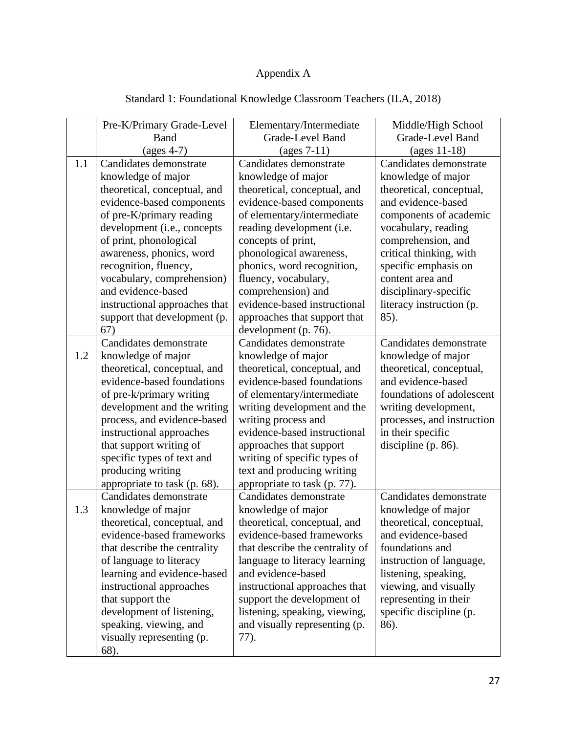# Appendix A

|     | Pre-K/Primary Grade-Level     | Elementary/Intermediate          | Middle/High School                |
|-----|-------------------------------|----------------------------------|-----------------------------------|
|     | <b>Band</b>                   | Grade-Level Band                 | Grade-Level Band                  |
|     | $(\text{ages } 4-7)$          | $\left(\text{ages } 7-11\right)$ | $\left(\text{ages } 11-18\right)$ |
| 1.1 | Candidates demonstrate        | Candidates demonstrate           | Candidates demonstrate            |
|     | knowledge of major            | knowledge of major               | knowledge of major                |
|     | theoretical, conceptual, and  | theoretical, conceptual, and     | theoretical, conceptual,          |
|     | evidence-based components     | evidence-based components        | and evidence-based                |
|     | of pre-K/primary reading      | of elementary/intermediate       | components of academic            |
|     | development (i.e., concepts   | reading development (i.e.        | vocabulary, reading               |
|     | of print, phonological        | concepts of print,               | comprehension, and                |
|     | awareness, phonics, word      | phonological awareness,          | critical thinking, with           |
|     | recognition, fluency,         | phonics, word recognition,       | specific emphasis on              |
|     | vocabulary, comprehension)    | fluency, vocabulary,             | content area and                  |
|     | and evidence-based            | comprehension) and               | disciplinary-specific             |
|     | instructional approaches that | evidence-based instructional     | literacy instruction (p.          |
|     | support that development (p.  | approaches that support that     | 85).                              |
|     | 67)                           | development (p. 76).             |                                   |
|     | Candidates demonstrate        | Candidates demonstrate           | Candidates demonstrate            |
| 1.2 | knowledge of major            | knowledge of major               | knowledge of major                |
|     | theoretical, conceptual, and  | theoretical, conceptual, and     | theoretical, conceptual,          |
|     | evidence-based foundations    | evidence-based foundations       | and evidence-based                |
|     | of pre-k/primary writing      | of elementary/intermediate       | foundations of adolescent         |
|     | development and the writing   | writing development and the      | writing development,              |
|     | process, and evidence-based   | writing process and              | processes, and instruction        |
|     | instructional approaches      | evidence-based instructional     | in their specific                 |
|     | that support writing of       | approaches that support          | discipline $(p. 86)$ .            |
|     | specific types of text and    | writing of specific types of     |                                   |
|     | producing writing             | text and producing writing       |                                   |
|     | appropriate to task (p. 68).  | appropriate to task (p. 77).     |                                   |
|     | Candidates demonstrate        | Candidates demonstrate           | Candidates demonstrate            |
| 1.3 | knowledge of major            | knowledge of major               | knowledge of major                |
|     | theoretical, conceptual, and  | theoretical, conceptual, and     | theoretical, conceptual,          |
|     | evidence-based frameworks     | evidence-based frameworks        | and evidence-based                |
|     | that describe the centrality  | that describe the centrality of  | foundations and                   |
|     | of language to literacy       | language to literacy learning    | instruction of language,          |
|     | learning and evidence-based   | and evidence-based               | listening, speaking,              |
|     | instructional approaches      | instructional approaches that    | viewing, and visually             |
|     | that support the              | support the development of       | representing in their             |
|     | development of listening,     | listening, speaking, viewing,    | specific discipline (p.           |
|     | speaking, viewing, and        | and visually representing (p.    | 86).                              |
|     | visually representing (p.     | 77).                             |                                   |
|     | 68).                          |                                  |                                   |

# Standard 1: Foundational Knowledge Classroom Teachers (ILA, 2018)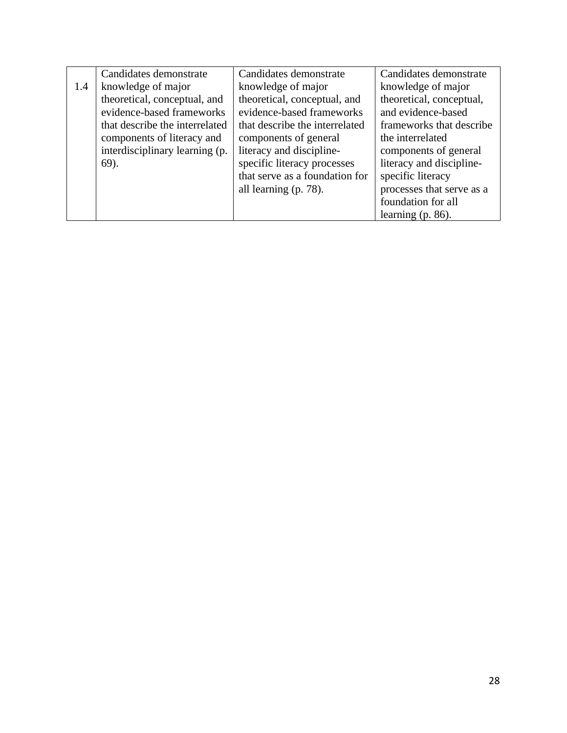|     | Candidates demonstrate         | Candidates demonstrate         | Candidates demonstrate    |
|-----|--------------------------------|--------------------------------|---------------------------|
| 1.4 | knowledge of major             | knowledge of major             | knowledge of major        |
|     | theoretical, conceptual, and   | theoretical, conceptual, and   | theoretical, conceptual,  |
|     | evidence-based frameworks      | evidence-based frameworks      | and evidence-based        |
|     | that describe the interrelated | that describe the interrelated | frameworks that describe  |
|     | components of literacy and     | components of general          | the interrelated          |
|     | interdisciplinary learning (p. | literacy and discipline-       | components of general     |
|     | $69$ ).                        | specific literacy processes    | literacy and discipline-  |
|     |                                | that serve as a foundation for | specific literacy         |
|     |                                | all learning (p. 78).          | processes that serve as a |
|     |                                |                                | foundation for all        |
|     |                                |                                | learning $(p. 86)$ .      |